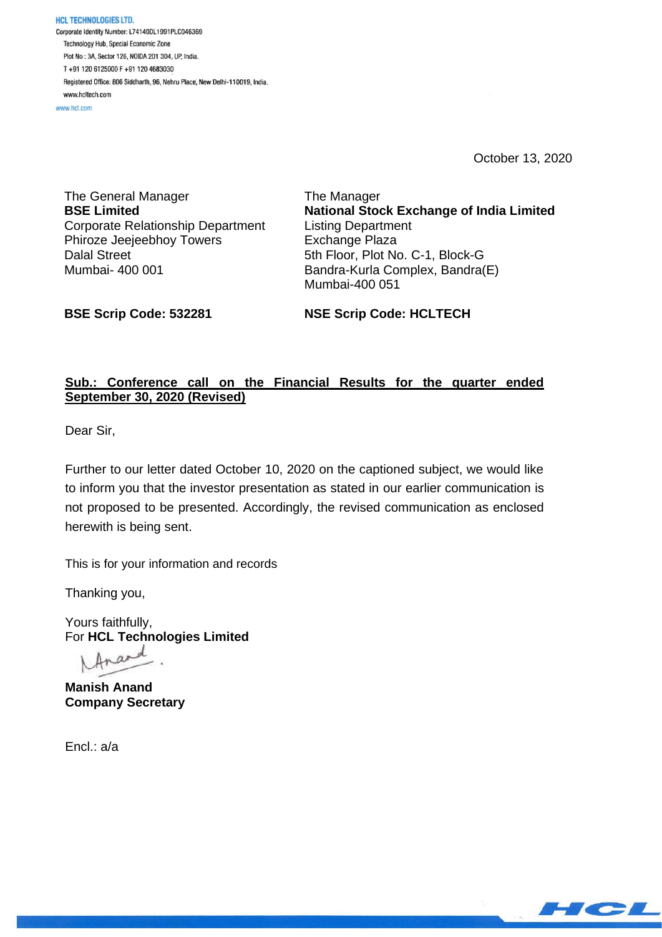**HCL TECHNOLOGIES LTD.** Corporate Identity Number: L74140DL1991PLC046369 Technology Hub, Special Economic Zone Plot No : 3A, Sector 126, NOIDA 201 304, UP, India. T+91 120 6125000 F+91 120 4683030 Registered Office: 806 Siddharth, 96, Nehru Place, New Delhi-110019, India. www.hcltech.com

www.hel.com

October 13, 2020

The General Manager **BSE Limited** Corporate Relationship Department Phiroze Jeejeebhoy Towers Dalal Street Mumbai- 400 001

The Manager **National Stock Exchange of India Limited** Listing Department Exchange Plaza 5th Floor, Plot No. C-1, Block-G Bandra-Kurla Complex, Bandra(E) Mumbai-400 051

**BSE Scrip Code: 532281**

**NSE Scrip Code: HCLTECH**

# **Sub.: Conference call on the Financial Results for the quarter ended September 30, 2020 (Revised)**

Dear Sir,

Further to our letter dated October 10, 2020 on the captioned subject, we would like to inform you that the investor presentation as stated in our earlier communication is not proposed to be presented. Accordingly, the revised communication as enclosed herewith is being sent.

This is for your information and records

Thanking you,

Yours faithfully, For **HCL Technologies Limited**

d  $ar$ 

**Manish Anand Company Secretary**

Encl.: a/a